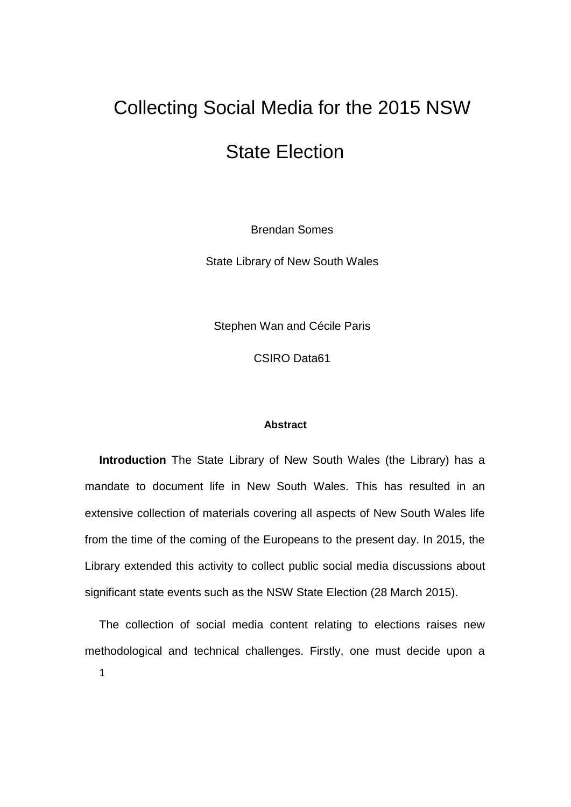# Collecting Social Media for the 2015 NSW

## State Election

Brendan Somes

State Library of New South Wales

Stephen Wan and Cécile Paris

CSIRO Data61

#### **Abstract**

**Introduction** The State Library of New South Wales (the Library) has a mandate to document life in New South Wales. This has resulted in an extensive collection of materials covering all aspects of New South Wales life from the time of the coming of the Europeans to the present day. In 2015, the Library extended this activity to collect public social media discussions about significant state events such as the NSW State Election (28 March 2015).

1 The collection of social media content relating to elections raises new methodological and technical challenges. Firstly, one must decide upon a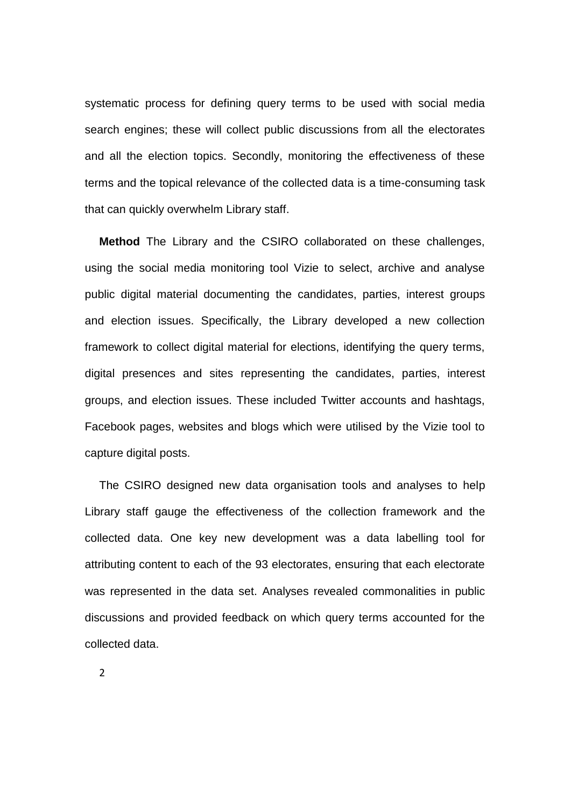systematic process for defining query terms to be used with social media search engines; these will collect public discussions from all the electorates and all the election topics. Secondly, monitoring the effectiveness of these terms and the topical relevance of the collected data is a time-consuming task that can quickly overwhelm Library staff.

**Method** The Library and the CSIRO collaborated on these challenges, using the social media monitoring tool Vizie to select, archive and analyse public digital material documenting the candidates, parties, interest groups and election issues. Specifically, the Library developed a new collection framework to collect digital material for elections, identifying the query terms, digital presences and sites representing the candidates, parties, interest groups, and election issues. These included Twitter accounts and hashtags, Facebook pages, websites and blogs which were utilised by the Vizie tool to capture digital posts.

The CSIRO designed new data organisation tools and analyses to help Library staff gauge the effectiveness of the collection framework and the collected data. One key new development was a data labelling tool for attributing content to each of the 93 electorates, ensuring that each electorate was represented in the data set. Analyses revealed commonalities in public discussions and provided feedback on which query terms accounted for the collected data.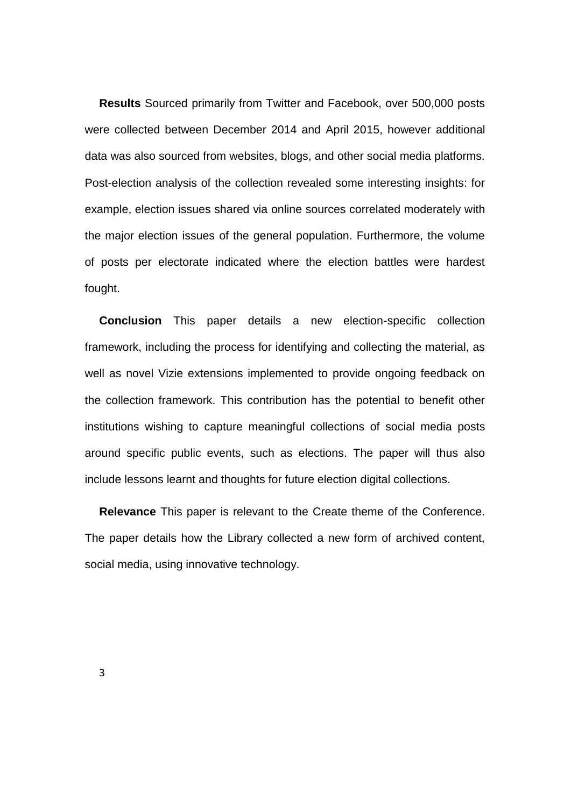**Results** Sourced primarily from Twitter and Facebook, over 500,000 posts were collected between December 2014 and April 2015, however additional data was also sourced from websites, blogs, and other social media platforms. Post-election analysis of the collection revealed some interesting insights: for example, election issues shared via online sources correlated moderately with the major election issues of the general population. Furthermore, the volume of posts per electorate indicated where the election battles were hardest fought.

**Conclusion** This paper details a new election-specific collection framework, including the process for identifying and collecting the material, as well as novel Vizie extensions implemented to provide ongoing feedback on the collection framework. This contribution has the potential to benefit other institutions wishing to capture meaningful collections of social media posts around specific public events, such as elections. The paper will thus also include lessons learnt and thoughts for future election digital collections.

**Relevance** This paper is relevant to the Create theme of the Conference. The paper details how the Library collected a new form of archived content, social media, using innovative technology.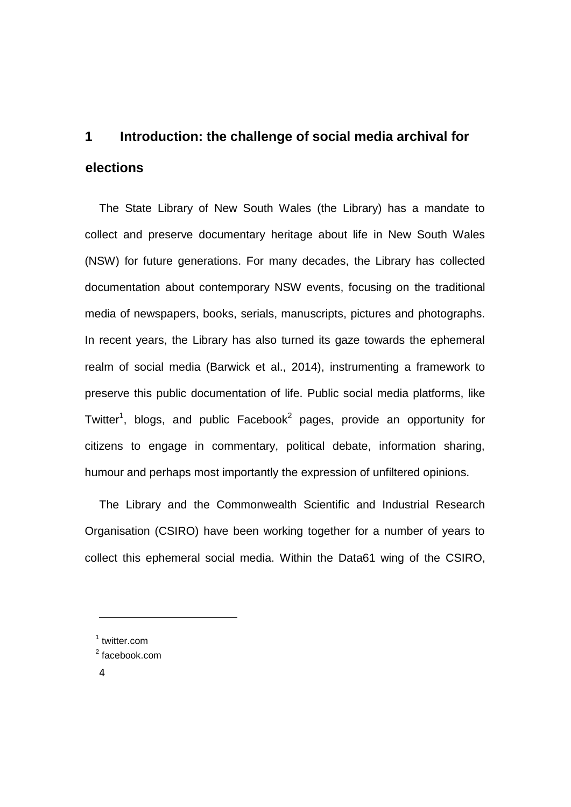# **1 Introduction: the challenge of social media archival for elections**

The State Library of New South Wales (the Library) has a mandate to collect and preserve documentary heritage about life in New South Wales (NSW) for future generations. For many decades, the Library has collected documentation about contemporary NSW events, focusing on the traditional media of newspapers, books, serials, manuscripts, pictures and photographs. In recent years, the Library has also turned its gaze towards the ephemeral realm of social media (Barwick et al., 2014), instrumenting a framework to preserve this public documentation of life. Public social media platforms, like Twitter<sup>1</sup>, blogs, and public Facebook<sup>2</sup> pages, provide an opportunity for citizens to engage in commentary, political debate, information sharing, humour and perhaps most importantly the expression of unfiltered opinions.

The Library and the Commonwealth Scientific and Industrial Research Organisation (CSIRO) have been working together for a number of years to collect this ephemeral social media. Within the Data61 wing of the CSIRO,

**.** 

<sup>1</sup> twitter.com

<sup>&</sup>lt;sup>2</sup> facebook.com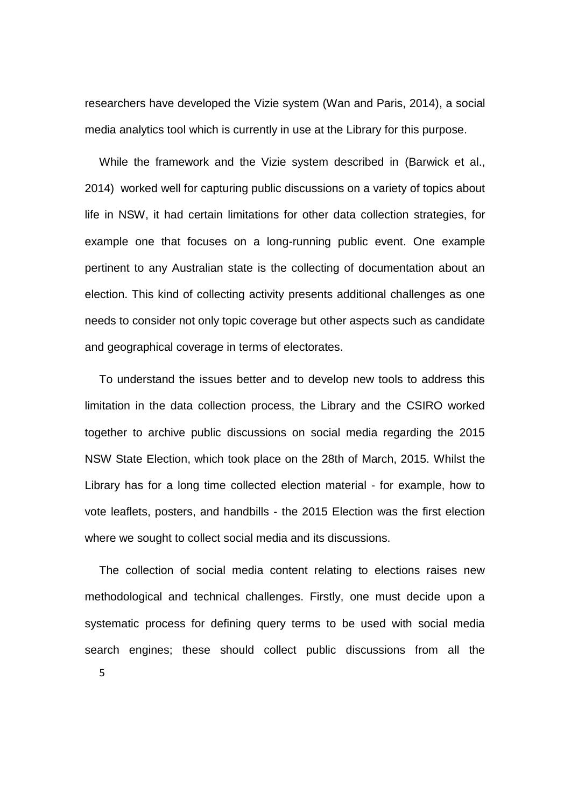researchers have developed the Vizie system (Wan and Paris, 2014), a social media analytics tool which is currently in use at the Library for this purpose.

While the framework and the Vizie system described in (Barwick et al., 2014) worked well for capturing public discussions on a variety of topics about life in NSW, it had certain limitations for other data collection strategies, for example one that focuses on a long-running public event. One example pertinent to any Australian state is the collecting of documentation about an election. This kind of collecting activity presents additional challenges as one needs to consider not only topic coverage but other aspects such as candidate and geographical coverage in terms of electorates.

To understand the issues better and to develop new tools to address this limitation in the data collection process, the Library and the CSIRO worked together to archive public discussions on social media regarding the 2015 NSW State Election, which took place on the 28th of March, 2015. Whilst the Library has for a long time collected election material - for example, how to vote leaflets, posters, and handbills - the 2015 Election was the first election where we sought to collect social media and its discussions.

The collection of social media content relating to elections raises new methodological and technical challenges. Firstly, one must decide upon a systematic process for defining query terms to be used with social media search engines; these should collect public discussions from all the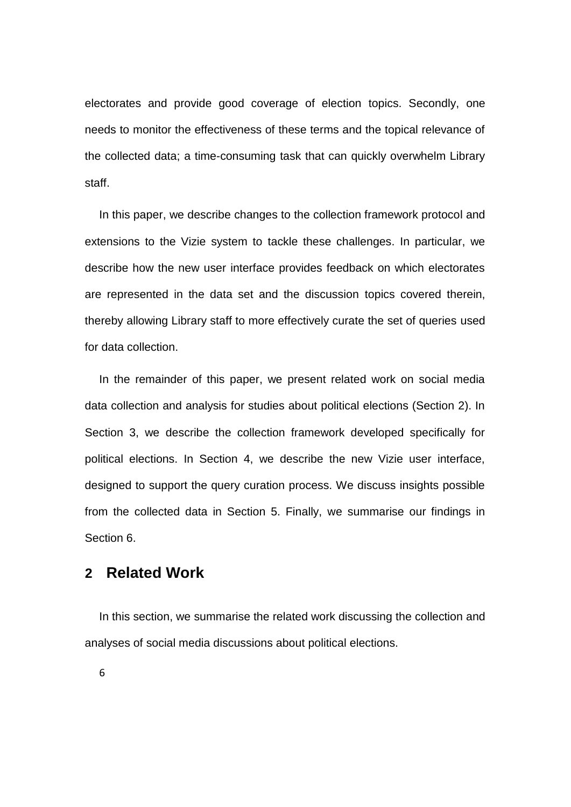electorates and provide good coverage of election topics. Secondly, one needs to monitor the effectiveness of these terms and the topical relevance of the collected data; a time-consuming task that can quickly overwhelm Library staff.

In this paper, we describe changes to the collection framework protocol and extensions to the Vizie system to tackle these challenges. In particular, we describe how the new user interface provides feedback on which electorates are represented in the data set and the discussion topics covered therein, thereby allowing Library staff to more effectively curate the set of queries used for data collection.

In the remainder of this paper, we present related work on social media data collection and analysis for studies about political elections (Section 2). In Section 3, we describe the collection framework developed specifically for political elections. In Section 4, we describe the new Vizie user interface, designed to support the query curation process. We discuss insights possible from the collected data in Section 5. Finally, we summarise our findings in Section 6.

### **2 Related Work**

In this section, we summarise the related work discussing the collection and analyses of social media discussions about political elections.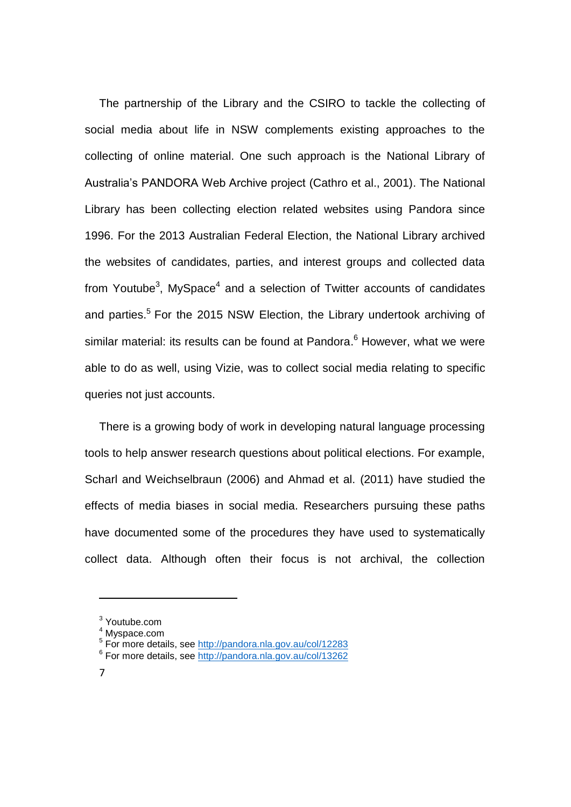The partnership of the Library and the CSIRO to tackle the collecting of social media about life in NSW complements existing approaches to the collecting of online material. One such approach is the National Library of Australia's PANDORA Web Archive project (Cathro et al., 2001). The National Library has been collecting election related websites using Pandora since 1996. For the 2013 Australian Federal Election, the National Library archived the websites of candidates, parties, and interest groups and collected data from Youtube<sup>3</sup>, MySpace<sup>4</sup> and a selection of Twitter accounts of candidates and parties.<sup>5</sup> For the 2015 NSW Election, the Library undertook archiving of similar material: its results can be found at Pandora. <sup>6</sup> However, what we were able to do as well, using Vizie, was to collect social media relating to specific queries not just accounts.

There is a growing body of work in developing natural language processing tools to help answer research questions about political elections. For example, Scharl and Weichselbraun (2006) and Ahmad et al. (2011) have studied the effects of media biases in social media. Researchers pursuing these paths have documented some of the procedures they have used to systematically collect data. Although often their focus is not archival, the collection

**.** 

<sup>&</sup>lt;sup>3</sup> Youtube.com

<sup>4</sup> Myspace.com

<sup>&</sup>lt;sup>5</sup> For more details, see<http://pandora.nla.gov.au/col/12283>

<sup>&</sup>lt;sup>6</sup> For more details, see<http://pandora.nla.gov.au/col/13262>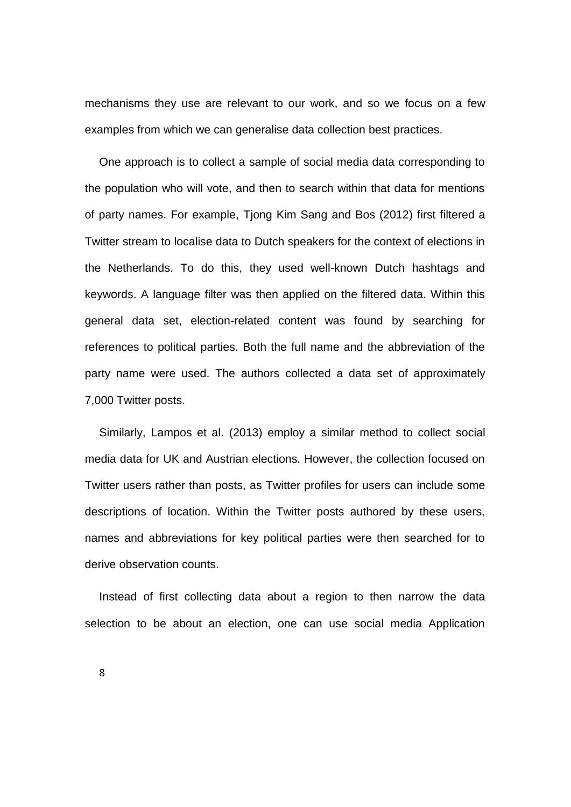mechanisms they use are relevant to our work, and so we focus on a few examples from which we can generalise data collection best practices.

One approach is to collect a sample of social media data corresponding to the population who will vote, and then to search within that data for mentions of party names. For example, Tjong Kim Sang and Bos (2012) first filtered a Twitter stream to localise data to Dutch speakers for the context of elections in the Netherlands. To do this, they used well-known Dutch hashtags and keywords. A language filter was then applied on the filtered data. Within this general data set, election-related content was found by searching for references to political parties. Both the full name and the abbreviation of the party name were used. The authors collected a data set of approximately 7,000 Twitter posts.

Similarly, Lampos et al. (2013) employ a similar method to collect social media data for UK and Austrian elections. However, the collection focused on Twitter users rather than posts, as Twitter profiles for users can include some descriptions of location. Within the Twitter posts authored by these users, names and abbreviations for key political parties were then searched for to derive observation counts.

Instead of first collecting data about a region to then narrow the data selection to be about an election, one can use social media Application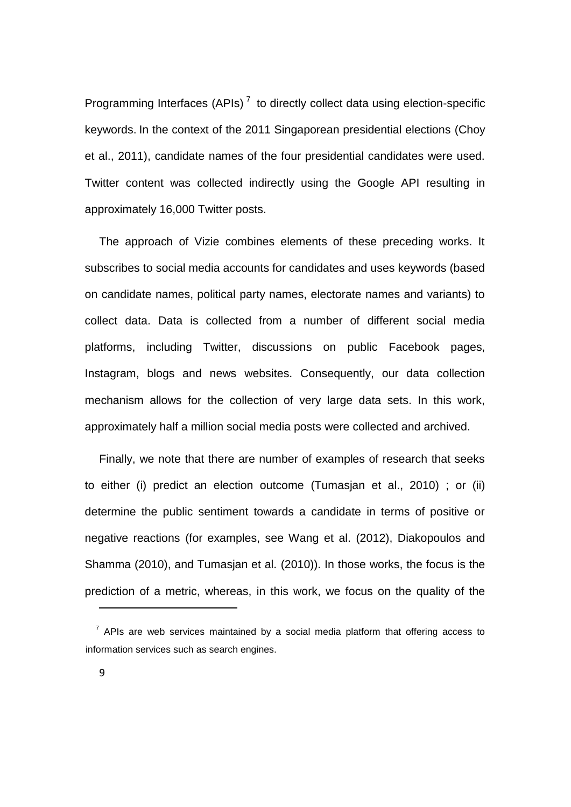Programming Interfaces (APIs)<sup>7</sup> to directly collect data using election-specific keywords. In the context of the 2011 Singaporean presidential elections (Choy et al., 2011), candidate names of the four presidential candidates were used. Twitter content was collected indirectly using the Google API resulting in approximately 16,000 Twitter posts.

The approach of Vizie combines elements of these preceding works. It subscribes to social media accounts for candidates and uses keywords (based on candidate names, political party names, electorate names and variants) to collect data. Data is collected from a number of different social media platforms, including Twitter, discussions on public Facebook pages, Instagram, blogs and news websites. Consequently, our data collection mechanism allows for the collection of very large data sets. In this work, approximately half a million social media posts were collected and archived.

Finally, we note that there are number of examples of research that seeks to either (i) predict an election outcome (Tumasjan et al., 2010) ; or (ii) determine the public sentiment towards a candidate in terms of positive or negative reactions (for examples, see Wang et al. (2012), Diakopoulos and Shamma (2010), and Tumasjan et al. (2010)). In those works, the focus is the prediction of a metric, whereas, in this work, we focus on the quality of the

**.** 

 $7$  APIs are web services maintained by a social media platform that offering access to information services such as search engines.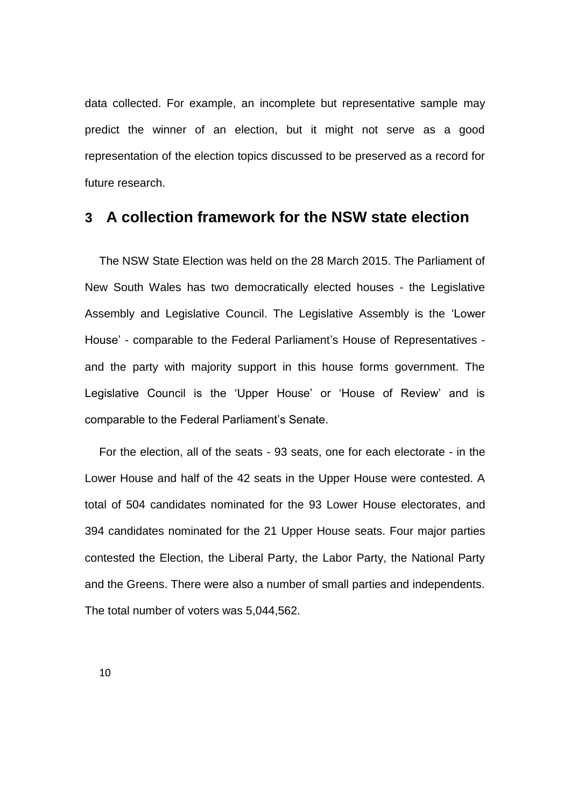data collected. For example, an incomplete but representative sample may predict the winner of an election, but it might not serve as a good representation of the election topics discussed to be preserved as a record for future research.

### **3 A collection framework for the NSW state election**

The NSW State Election was held on the 28 March 2015. The Parliament of New South Wales has two democratically elected houses - the Legislative Assembly and Legislative Council. The Legislative Assembly is the 'Lower House' - comparable to the Federal Parliament's House of Representatives and the party with majority support in this house forms government. The Legislative Council is the 'Upper House' or 'House of Review' and is comparable to the Federal Parliament's Senate.

For the election, all of the seats - 93 seats, one for each electorate - in the Lower House and half of the 42 seats in the Upper House were contested. A total of 504 candidates nominated for the 93 Lower House electorates, and 394 candidates nominated for the 21 Upper House seats. Four major parties contested the Election, the Liberal Party, the Labor Party, the National Party and the Greens. There were also a number of small parties and independents. The total number of voters was 5,044,562.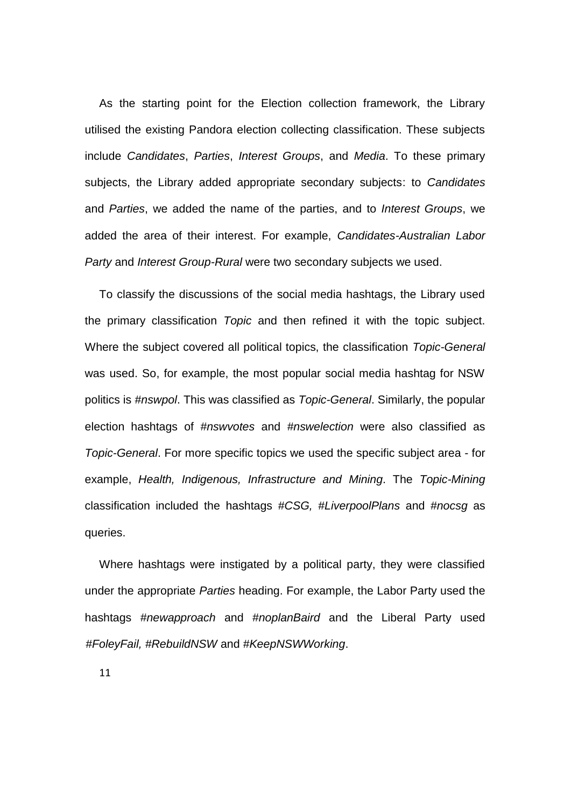As the starting point for the Election collection framework, the Library utilised the existing Pandora election collecting classification. These subjects include *Candidates*, *Parties*, *Interest Groups*, and *Media*. To these primary subjects, the Library added appropriate secondary subjects: to *Candidates*  and *Parties*, we added the name of the parties, and to *Interest Groups*, we added the area of their interest. For example, *Candidates-Australian Labor Party* and *Interest Group-Rural* were two secondary subjects we used.

To classify the discussions of the social media hashtags, the Library used the primary classification *Topic* and then refined it with the topic subject. Where the subject covered all political topics, the classification *Topic-General*  was used. So, for example, the most popular social media hashtag for NSW politics is *#nswpol*. This was classified as *Topic-General*. Similarly, the popular election hashtags of *#nswvotes* and *#nswelection* were also classified as *Topic-General*. For more specific topics we used the specific subject area - for example, *Health, Indigenous, Infrastructure and Mining*. The *Topic-Mining*  classification included the hashtags *#CSG, #LiverpoolPlans* and *#nocsg* as queries.

Where hashtags were instigated by a political party, they were classified under the appropriate *Parties* heading. For example, the Labor Party used the hashtags *#newapproach* and *#noplanBaird* and the Liberal Party used *#FoleyFail, #RebuildNSW* and *#KeepNSWWorking*.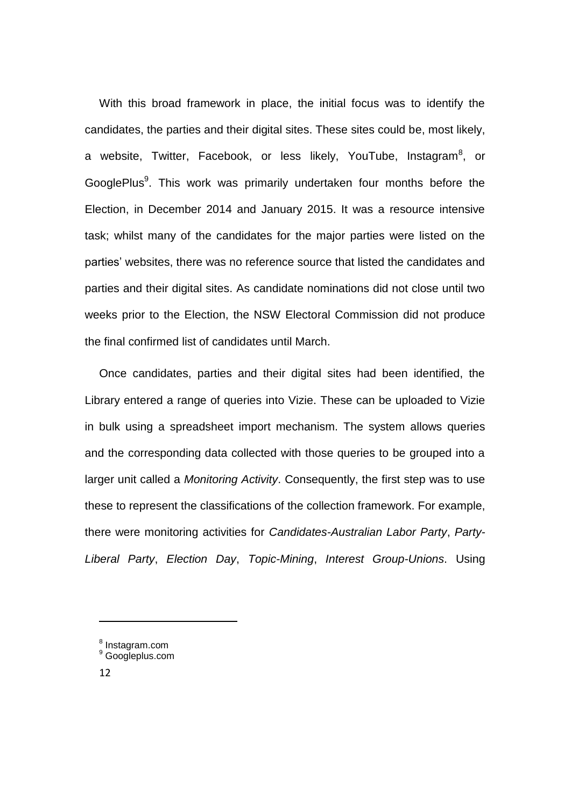With this broad framework in place, the initial focus was to identify the candidates, the parties and their digital sites. These sites could be, most likely, a website, Twitter, Facebook, or less likely, YouTube, Instagram<sup>8</sup>, or GooglePlus<sup>9</sup>. This work was primarily undertaken four months before the Election, in December 2014 and January 2015. It was a resource intensive task; whilst many of the candidates for the major parties were listed on the parties' websites, there was no reference source that listed the candidates and parties and their digital sites. As candidate nominations did not close until two weeks prior to the Election, the NSW Electoral Commission did not produce the final confirmed list of candidates until March.

Once candidates, parties and their digital sites had been identified, the Library entered a range of queries into Vizie. These can be uploaded to Vizie in bulk using a spreadsheet import mechanism. The system allows queries and the corresponding data collected with those queries to be grouped into a larger unit called a *Monitoring Activity*. Consequently, the first step was to use these to represent the classifications of the collection framework. For example, there were monitoring activities for *Candidates-Australian Labor Party*, *Party-Liberal Party*, *Election Day*, *Topic-Mining*, *Interest Group-Unions*. Using

**.** 

<sup>&</sup>lt;sup>8</sup> Instagram.com

<sup>9</sup> Googleplus.com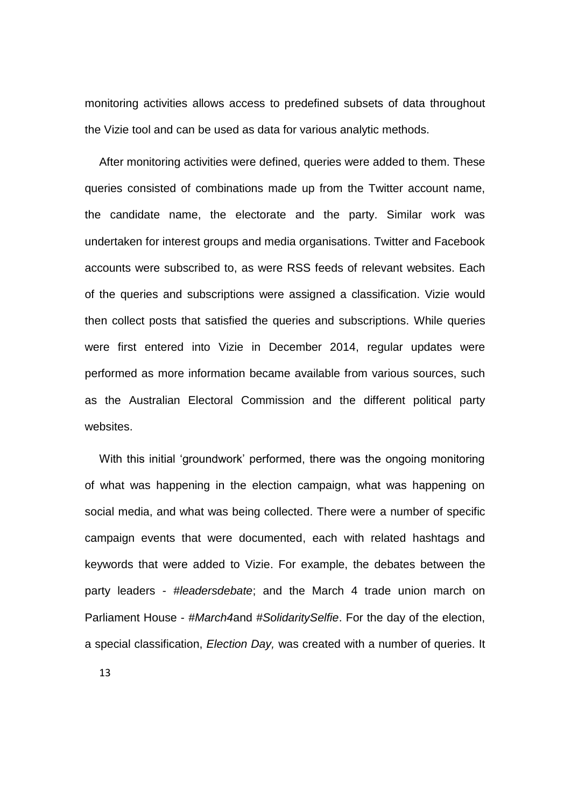monitoring activities allows access to predefined subsets of data throughout the Vizie tool and can be used as data for various analytic methods.

After monitoring activities were defined, queries were added to them. These queries consisted of combinations made up from the Twitter account name, the candidate name, the electorate and the party. Similar work was undertaken for interest groups and media organisations. Twitter and Facebook accounts were subscribed to, as were RSS feeds of relevant websites. Each of the queries and subscriptions were assigned a classification. Vizie would then collect posts that satisfied the queries and subscriptions. While queries were first entered into Vizie in December 2014, regular updates were performed as more information became available from various sources, such as the Australian Electoral Commission and the different political party websites.

With this initial 'groundwork' performed, there was the ongoing monitoring of what was happening in the election campaign, what was happening on social media, and what was being collected. There were a number of specific campaign events that were documented, each with related hashtags and keywords that were added to Vizie. For example, the debates between the party leaders - *#leadersdebate*; and the March 4 trade union march on Parliament House - *#March4*and *#SolidaritySelfie*. For the day of the election, a special classification, *Election Day,* was created with a number of queries. It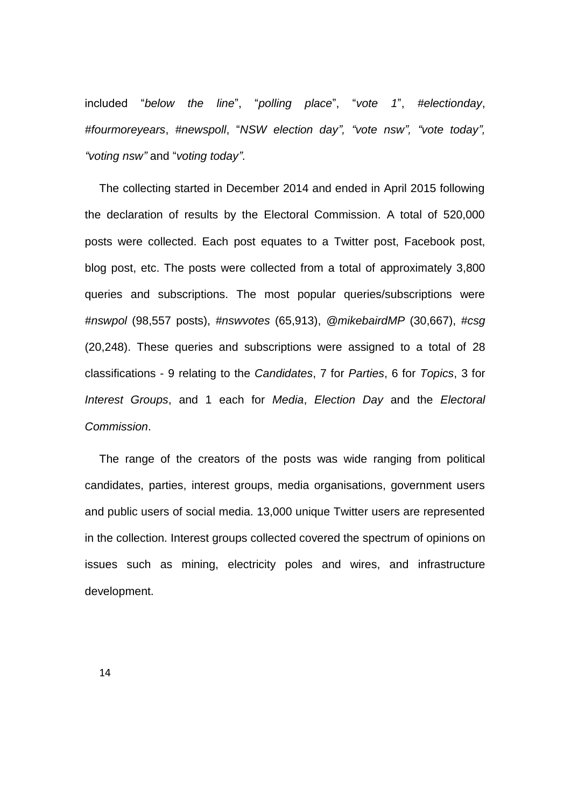included "*below the line*", "*polling place*", "*vote 1*", *#electionday*, *#fourmoreyears*, *#newspoll*, "*NSW election day", "vote nsw", "vote today", "voting nsw"* and "*voting today"*.

The collecting started in December 2014 and ended in April 2015 following the declaration of results by the Electoral Commission. A total of 520,000 posts were collected. Each post equates to a Twitter post, Facebook post, blog post, etc. The posts were collected from a total of approximately 3,800 queries and subscriptions. The most popular queries/subscriptions were *#nswpol* (98,557 posts), *#nswvotes* (65,913), *@mikebairdMP* (30,667), *#csg* (20,248). These queries and subscriptions were assigned to a total of 28 classifications - 9 relating to the *Candidates*, 7 for *Parties*, 6 for *Topics*, 3 for *Interest Groups*, and 1 each for *Media*, *Election Day* and the *Electoral Commission*.

The range of the creators of the posts was wide ranging from political candidates, parties, interest groups, media organisations, government users and public users of social media. 13,000 unique Twitter users are represented in the collection. Interest groups collected covered the spectrum of opinions on issues such as mining, electricity poles and wires, and infrastructure development.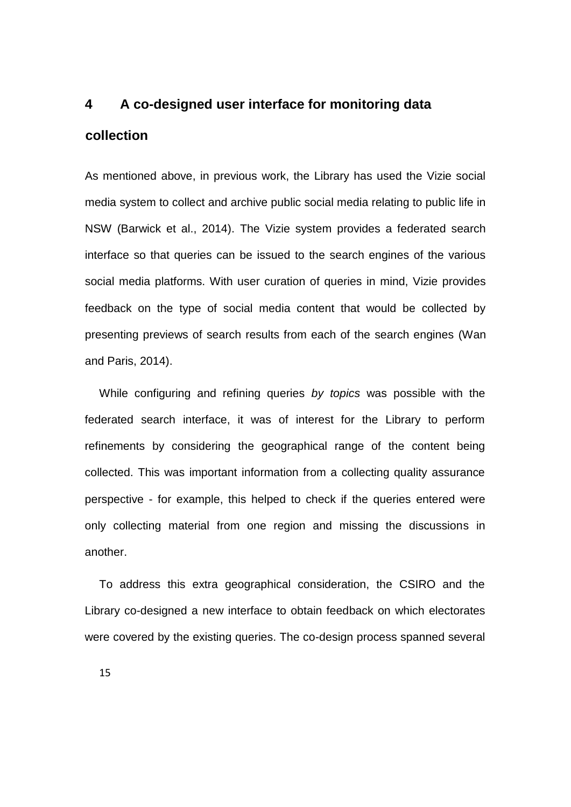# **4 A co-designed user interface for monitoring data collection**

As mentioned above, in previous work, the Library has used the Vizie social media system to collect and archive public social media relating to public life in NSW (Barwick et al., 2014). The Vizie system provides a federated search interface so that queries can be issued to the search engines of the various social media platforms. With user curation of queries in mind, Vizie provides feedback on the type of social media content that would be collected by presenting previews of search results from each of the search engines (Wan and Paris, 2014).

While configuring and refining queries *by topics* was possible with the federated search interface, it was of interest for the Library to perform refinements by considering the geographical range of the content being collected. This was important information from a collecting quality assurance perspective - for example, this helped to check if the queries entered were only collecting material from one region and missing the discussions in another.

To address this extra geographical consideration, the CSIRO and the Library co-designed a new interface to obtain feedback on which electorates were covered by the existing queries. The co-design process spanned several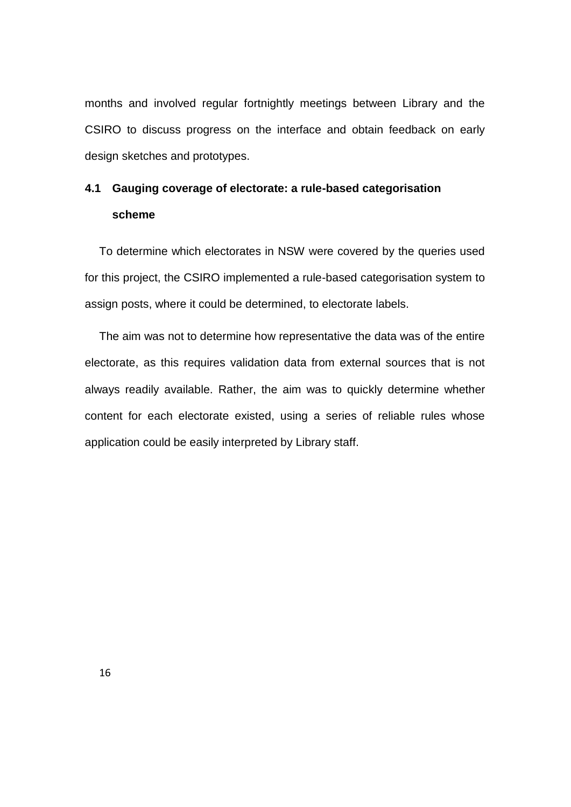months and involved regular fortnightly meetings between Library and the CSIRO to discuss progress on the interface and obtain feedback on early design sketches and prototypes.

### **4.1 Gauging coverage of electorate: a rule-based categorisation scheme**

To determine which electorates in NSW were covered by the queries used for this project, the CSIRO implemented a rule-based categorisation system to assign posts, where it could be determined, to electorate labels.

The aim was not to determine how representative the data was of the entire electorate, as this requires validation data from external sources that is not always readily available. Rather, the aim was to quickly determine whether content for each electorate existed, using a series of reliable rules whose application could be easily interpreted by Library staff.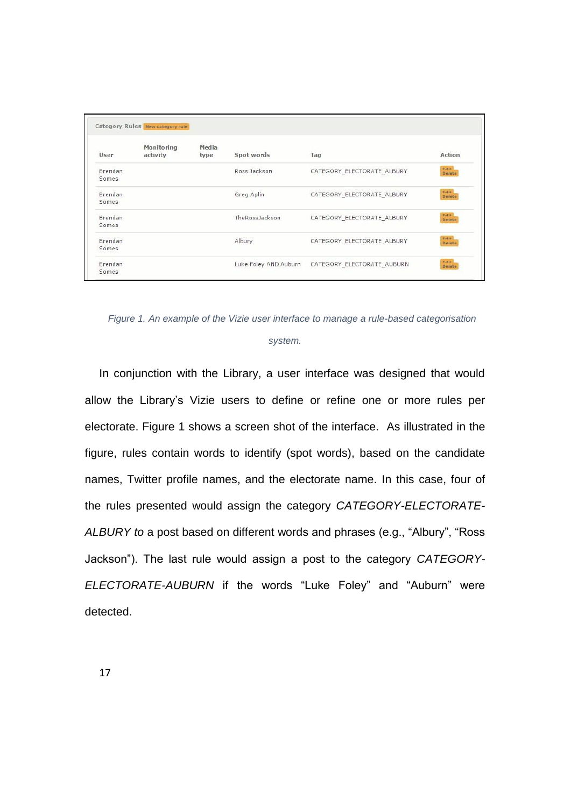|         | Monitoring | Media |                       | ez-                        |                         |
|---------|------------|-------|-----------------------|----------------------------|-------------------------|
| User    | activity   | type  | Spot words            | Tag                        | Action                  |
| Brendan |            |       | Ross Jackson          | CATEGORY ELECTORATE ALBURY | <b>BAIR</b><br>Delete   |
| Somes   |            |       |                       |                            |                         |
| Brendan |            |       | Greg Aplin            | CATEGORY ELECTORATE ALBURY | mate.<br>Delete         |
| Somes   |            |       |                       |                            |                         |
| Brendan |            |       | TheRossJackson        | CATEGORY_ELECTORATE_ALBURY | <b>EVILLE</b><br>Delete |
| Somes   |            |       |                       |                            |                         |
| Brendan |            |       | Albury                | CATEGORY_ELECTORATE_ALBURY | <b>Ball</b><br>Delete   |
| Somes   |            |       |                       |                            |                         |
| Brendan |            |       | Luke Foley AND Auburn | CATEGORY_ELECTORATE_AUBURN | <b>RATE:</b><br>Delete  |
| Somes   |            |       |                       |                            |                         |

*Figure 1. An example of the Vizie user interface to manage a rule-based categorisation* 

#### *system.*

In conjunction with the Library, a user interface was designed that would allow the Library's Vizie users to define or refine one or more rules per electorate. Figure 1 shows a screen shot of the interface. As illustrated in the figure, rules contain words to identify (spot words), based on the candidate names, Twitter profile names, and the electorate name. In this case, four of the rules presented would assign the category *CATEGORY-ELECTORATE-ALBURY to* a post based on different words and phrases (e.g., "Albury", "Ross Jackson"). The last rule would assign a post to the category *CATEGORY-ELECTORATE-AUBURN* if the words "Luke Foley" and "Auburn" were detected.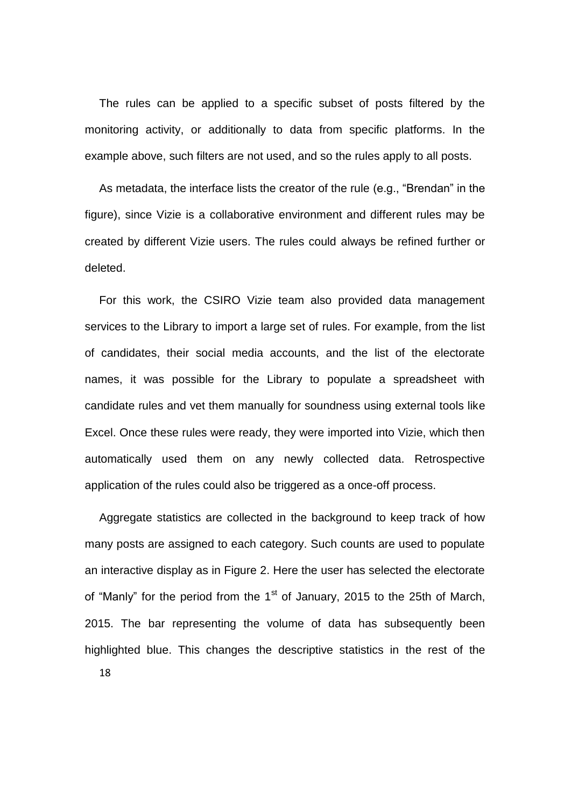The rules can be applied to a specific subset of posts filtered by the monitoring activity, or additionally to data from specific platforms. In the example above, such filters are not used, and so the rules apply to all posts.

As metadata, the interface lists the creator of the rule (e.g., "Brendan" in the figure), since Vizie is a collaborative environment and different rules may be created by different Vizie users. The rules could always be refined further or deleted.

For this work, the CSIRO Vizie team also provided data management services to the Library to import a large set of rules. For example, from the list of candidates, their social media accounts, and the list of the electorate names, it was possible for the Library to populate a spreadsheet with candidate rules and vet them manually for soundness using external tools like Excel. Once these rules were ready, they were imported into Vizie, which then automatically used them on any newly collected data. Retrospective application of the rules could also be triggered as a once-off process.

18 Aggregate statistics are collected in the background to keep track of how many posts are assigned to each category. Such counts are used to populate an interactive display as in Figure 2. Here the user has selected the electorate of "Manly" for the period from the 1<sup>st</sup> of January, 2015 to the 25th of March, 2015. The bar representing the volume of data has subsequently been highlighted blue. This changes the descriptive statistics in the rest of the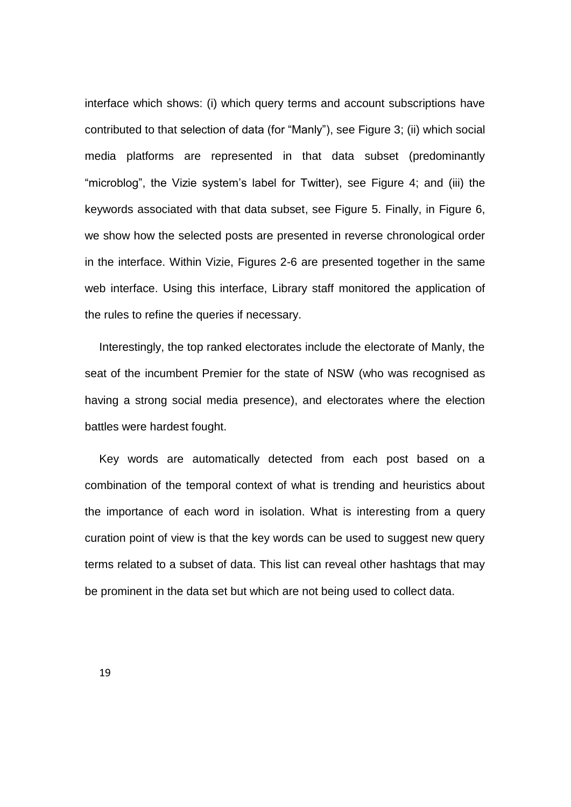interface which shows: (i) which query terms and account subscriptions have contributed to that selection of data (for "Manly"), see Figure 3; (ii) which social media platforms are represented in that data subset (predominantly "microblog", the Vizie system's label for Twitter), see Figure 4; and (iii) the keywords associated with that data subset, see Figure 5. Finally, in Figure 6, we show how the selected posts are presented in reverse chronological order in the interface. Within Vizie, Figures 2-6 are presented together in the same web interface. Using this interface, Library staff monitored the application of the rules to refine the queries if necessary.

Interestingly, the top ranked electorates include the electorate of Manly, the seat of the incumbent Premier for the state of NSW (who was recognised as having a strong social media presence), and electorates where the election battles were hardest fought.

Key words are automatically detected from each post based on a combination of the temporal context of what is trending and heuristics about the importance of each word in isolation. What is interesting from a query curation point of view is that the key words can be used to suggest new query terms related to a subset of data. This list can reveal other hashtags that may be prominent in the data set but which are not being used to collect data.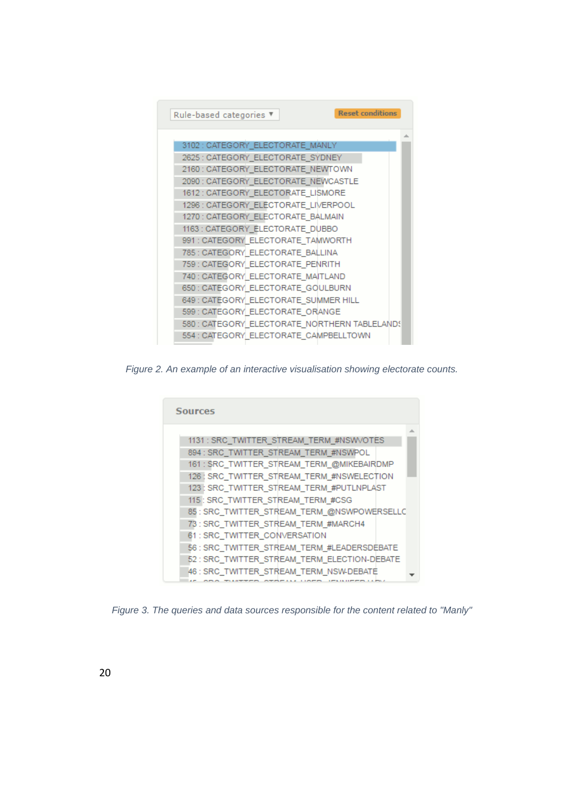

*Figure 2. An example of an interactive visualisation showing electorate counts.*



*Figure 3. The queries and data sources responsible for the content related to "Manly"*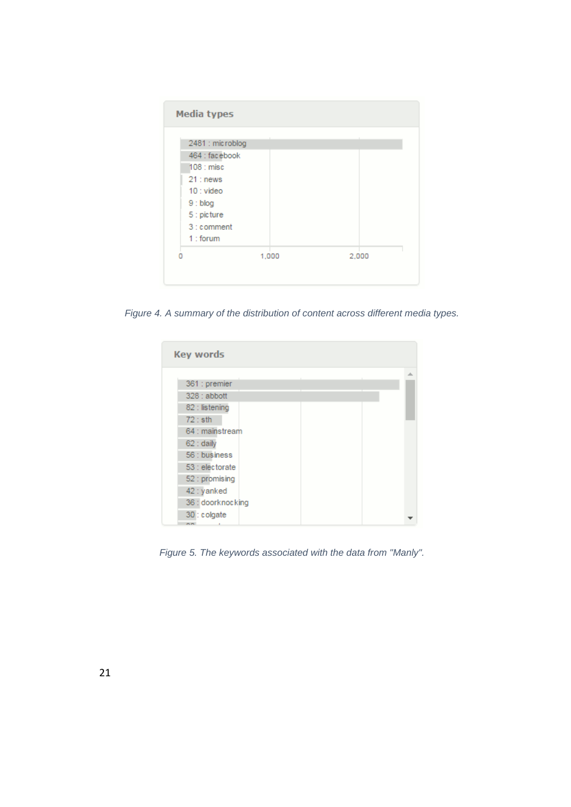| 2481 : microblog |       |       |
|------------------|-------|-------|
| 464 : facebook   |       |       |
| 108 : misc       |       |       |
| $21:$ news       |       |       |
| $10:$ video      |       |       |
| $9:$ blog        |       |       |
| 5 : picture      |       |       |
| 3 : comment      |       |       |
| $1:$ forum       |       |       |
| n                | 1,000 | 2,000 |

*Figure 4. A summary of the distribution of content across different media types.*

| <b>Key words</b>           |   |
|----------------------------|---|
|                            | 盀 |
| 361 : premier              |   |
| 328 : abbott               |   |
| 82 : listening             |   |
| $72:$ sth                  |   |
| 64 : mainstream            |   |
| 62 : daily                 |   |
| 56 : business              |   |
| 53 : electorate            |   |
| 52 : promising             |   |
| 42 : yanked                |   |
| 36 : doorknocking          |   |
| 30 : colgate<br>$\sim$ $-$ |   |

*Figure 5. The keywords associated with the data from "Manly".*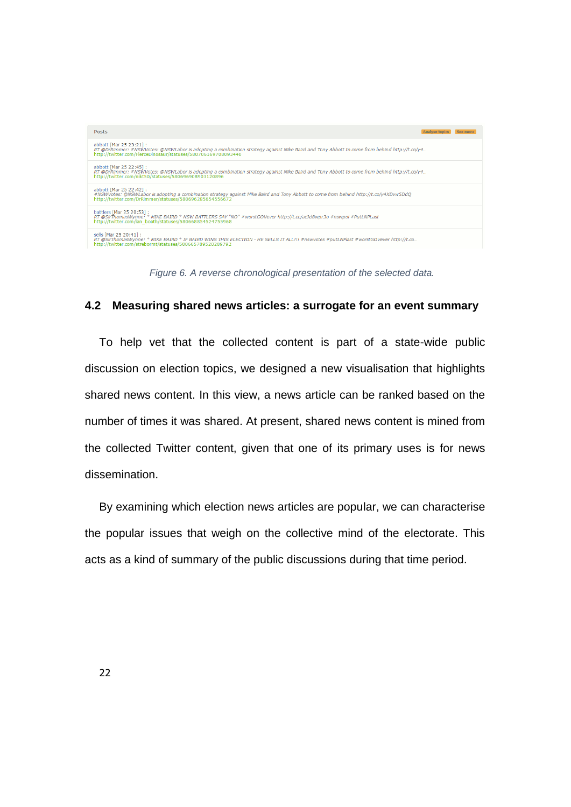| <b>Posts</b>                                                                                                                                                                                                                           | Analyse topics | See more |
|----------------------------------------------------------------------------------------------------------------------------------------------------------------------------------------------------------------------------------------|----------------|----------|
| abbott [Mar 25 23:21]:<br>RT @DrRimmer: #NSWVotes: @NSWLabor is adopting a combination strategy against Mike Baird and Tony Abbott to come from behind http://t.co/y4<br>http://twitter.com/FierceDinosaur/statuses/580706169708093440 |                |          |
| abbott [Mar 25 22:45] :<br>RT @DrRimmer: #NSWVotes: @NSWLabor is adopting a combination strategy against Mike Baird and Tony Abbott to come from behind http://t.co/y4<br>http://twitter.com/nikt50/statuses/580696908903120896        |                |          |
| abbott [Mar 25 22:42] :<br>#NSWVotes: @NSWLabor is adopting a combination strategy against Mike Baird and Tony Abbott to come from behind http://t.co/y4XDvw5DdQ<br>http://twitter.com/DrRimmer/statuses/580696285654556672            |                |          |
| battlers [Mar 25 20:53]:<br>RT @SirThomasWynne: * MIKE BAIRD * NSW BATTLERS SAY "NO" #worstGOVever http://t.co/acJd8wpr3o #nswpol #PutLNPLast<br>http://twitter.com/ian_booth/statuses/580668854524755968                              |                |          |
| sells [Mar 25 20:41] :<br>RT @SirThomasWynne: * MIKE BAIRD * IF BAIRD WINS THIS ELECTION - HE SELLS IT ALL!!! #nswvotes #putLNPlast #worstGOVever http://t.co<br>http://twitter.com/strebormt/statuses/580665789520289792              |                |          |

*Figure 6. A reverse chronological presentation of the selected data.*

#### **4.2 Measuring shared news articles: a surrogate for an event summary**

To help vet that the collected content is part of a state-wide public discussion on election topics, we designed a new visualisation that highlights shared news content. In this view, a news article can be ranked based on the number of times it was shared. At present, shared news content is mined from the collected Twitter content, given that one of its primary uses is for news dissemination.

By examining which election news articles are popular, we can characterise the popular issues that weigh on the collective mind of the electorate. This acts as a kind of summary of the public discussions during that time period.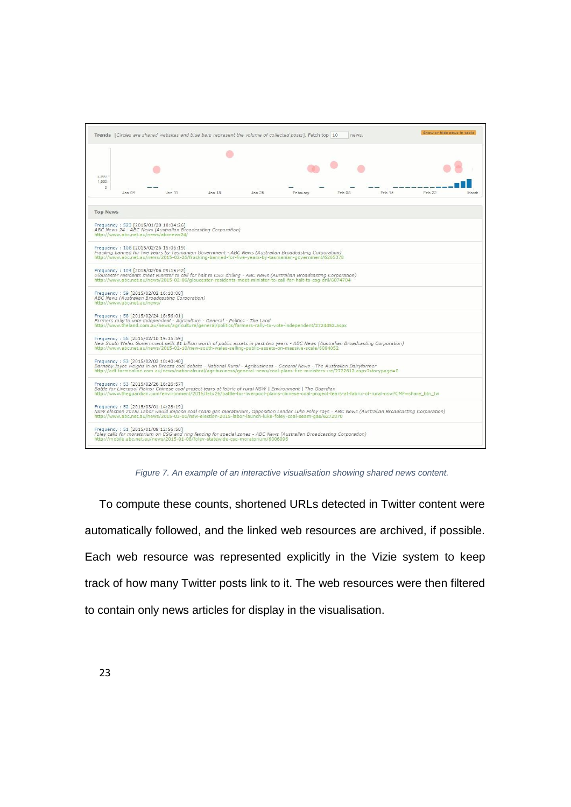

*Figure 7. An example of an interactive visualisation showing shared news content.*

To compute these counts, shortened URLs detected in Twitter content were automatically followed, and the linked web resources are archived, if possible. Each web resource was represented explicitly in the Vizie system to keep track of how many Twitter posts link to it. The web resources were then filtered to contain only news articles for display in the visualisation.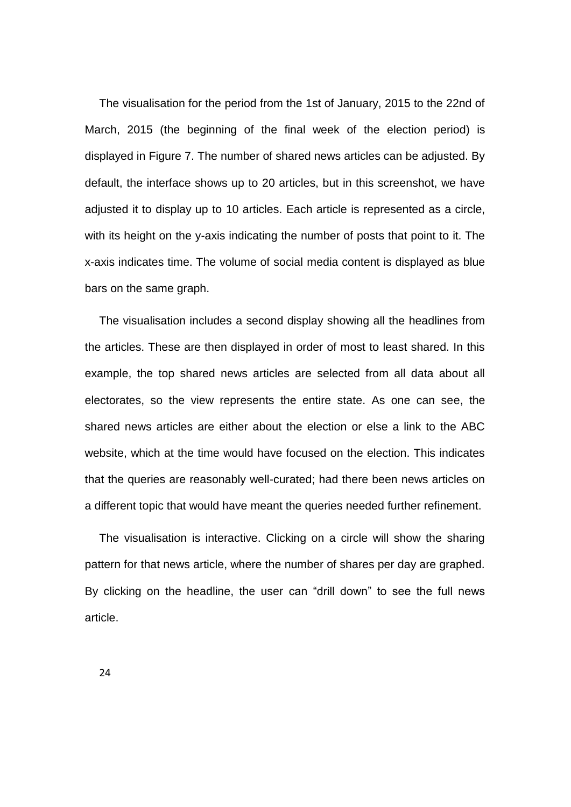The visualisation for the period from the 1st of January, 2015 to the 22nd of March, 2015 (the beginning of the final week of the election period) is displayed in Figure 7. The number of shared news articles can be adjusted. By default, the interface shows up to 20 articles, but in this screenshot, we have adjusted it to display up to 10 articles. Each article is represented as a circle, with its height on the y-axis indicating the number of posts that point to it. The x-axis indicates time. The volume of social media content is displayed as blue bars on the same graph.

The visualisation includes a second display showing all the headlines from the articles. These are then displayed in order of most to least shared. In this example, the top shared news articles are selected from all data about all electorates, so the view represents the entire state. As one can see, the shared news articles are either about the election or else a link to the ABC website, which at the time would have focused on the election. This indicates that the queries are reasonably well-curated; had there been news articles on a different topic that would have meant the queries needed further refinement.

The visualisation is interactive. Clicking on a circle will show the sharing pattern for that news article, where the number of shares per day are graphed. By clicking on the headline, the user can "drill down" to see the full news article.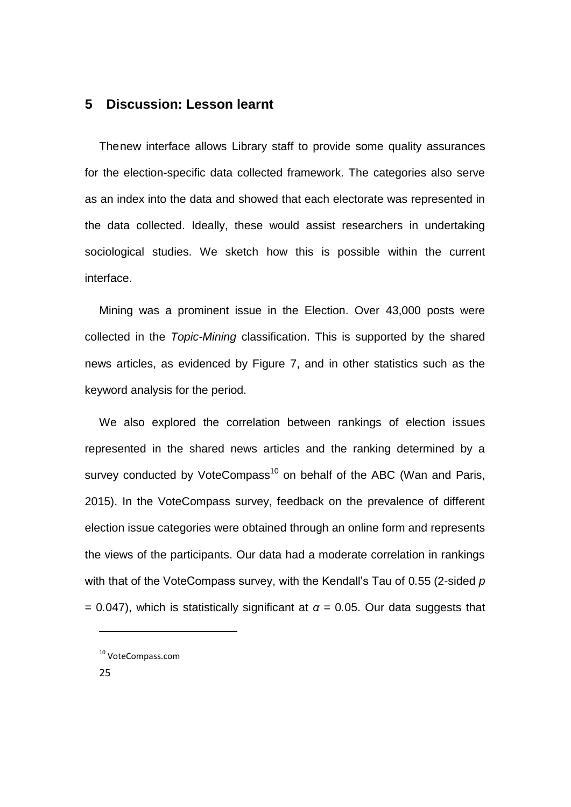### **5 Discussion: Lesson learnt**

Thenew interface allows Library staff to provide some quality assurances for the election-specific data collected framework. The categories also serve as an index into the data and showed that each electorate was represented in the data collected. Ideally, these would assist researchers in undertaking sociological studies. We sketch how this is possible within the current interface.

Mining was a prominent issue in the Election. Over 43,000 posts were collected in the *Topic-Mining* classification. This is supported by the shared news articles, as evidenced by Figure 7, and in other statistics such as the keyword analysis for the period.

We also explored the correlation between rankings of election issues represented in the shared news articles and the ranking determined by a survey conducted by VoteCompass<sup>10</sup> on behalf of the ABC (Wan and Paris, 2015). In the VoteCompass survey, feedback on the prevalence of different election issue categories were obtained through an online form and represents the views of the participants. Our data had a moderate correlation in rankings with that of the VoteCompass survey, with the Kendall's Tau of 0*.*55 (2-sided *p*   $= 0.047$ ), which is statistically significant at  $\alpha = 0.05$ . Our data suggests that

**.** 

<sup>10</sup> VoteCompass.com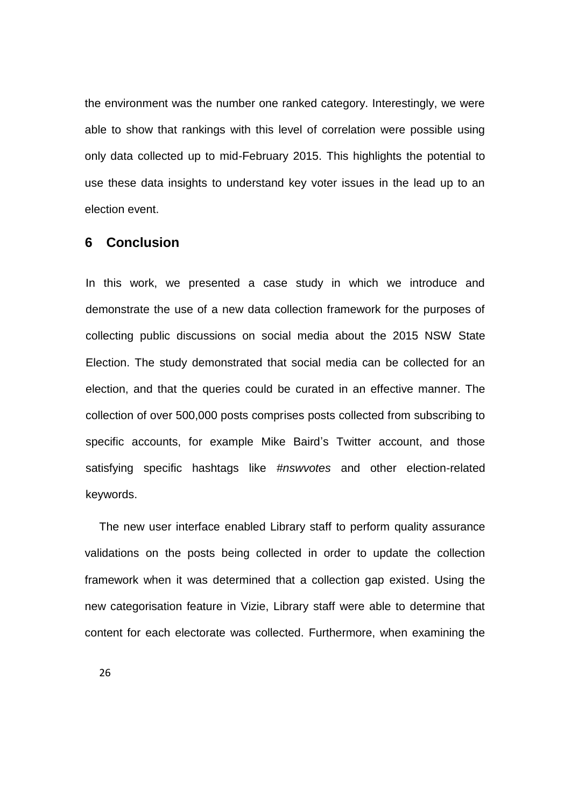the environment was the number one ranked category. Interestingly, we were able to show that rankings with this level of correlation were possible using only data collected up to mid-February 2015. This highlights the potential to use these data insights to understand key voter issues in the lead up to an election event.

### **6 Conclusion**

In this work, we presented a case study in which we introduce and demonstrate the use of a new data collection framework for the purposes of collecting public discussions on social media about the 2015 NSW State Election. The study demonstrated that social media can be collected for an election, and that the queries could be curated in an effective manner. The collection of over 500,000 posts comprises posts collected from subscribing to specific accounts, for example Mike Baird's Twitter account, and those satisfying specific hashtags like *#nswvotes* and other election-related keywords.

The new user interface enabled Library staff to perform quality assurance validations on the posts being collected in order to update the collection framework when it was determined that a collection gap existed. Using the new categorisation feature in Vizie, Library staff were able to determine that content for each electorate was collected. Furthermore, when examining the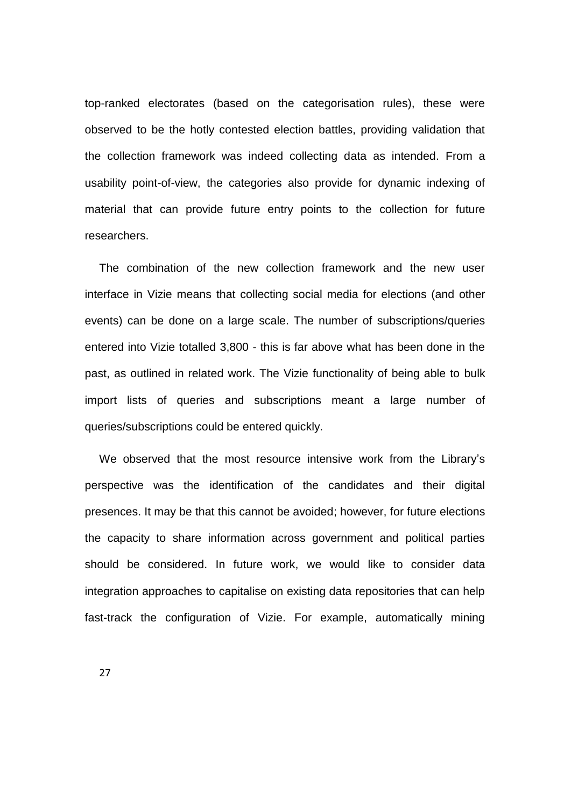top-ranked electorates (based on the categorisation rules), these were observed to be the hotly contested election battles, providing validation that the collection framework was indeed collecting data as intended. From a usability point-of-view, the categories also provide for dynamic indexing of material that can provide future entry points to the collection for future researchers.

The combination of the new collection framework and the new user interface in Vizie means that collecting social media for elections (and other events) can be done on a large scale. The number of subscriptions/queries entered into Vizie totalled 3,800 - this is far above what has been done in the past, as outlined in related work. The Vizie functionality of being able to bulk import lists of queries and subscriptions meant a large number of queries/subscriptions could be entered quickly.

We observed that the most resource intensive work from the Library's perspective was the identification of the candidates and their digital presences. It may be that this cannot be avoided; however, for future elections the capacity to share information across government and political parties should be considered. In future work, we would like to consider data integration approaches to capitalise on existing data repositories that can help fast-track the configuration of Vizie. For example, automatically mining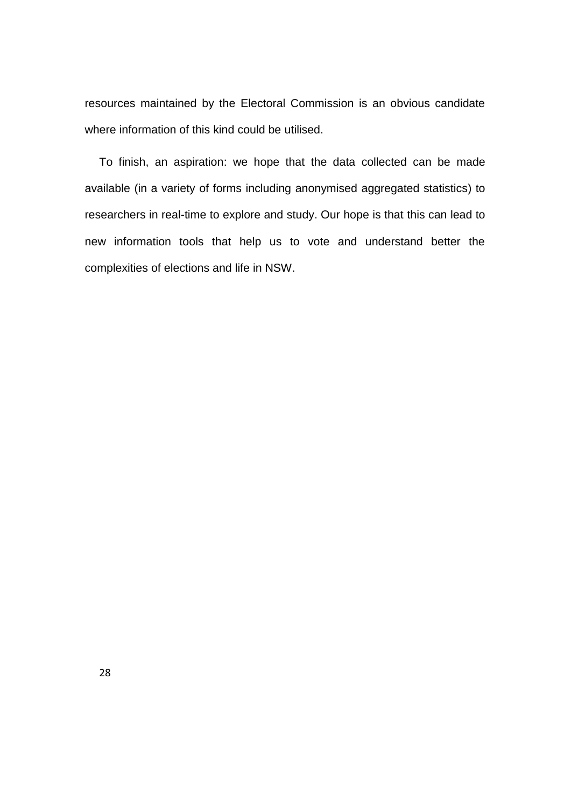resources maintained by the Electoral Commission is an obvious candidate where information of this kind could be utilised.

To finish, an aspiration: we hope that the data collected can be made available (in a variety of forms including anonymised aggregated statistics) to researchers in real-time to explore and study. Our hope is that this can lead to new information tools that help us to vote and understand better the complexities of elections and life in NSW.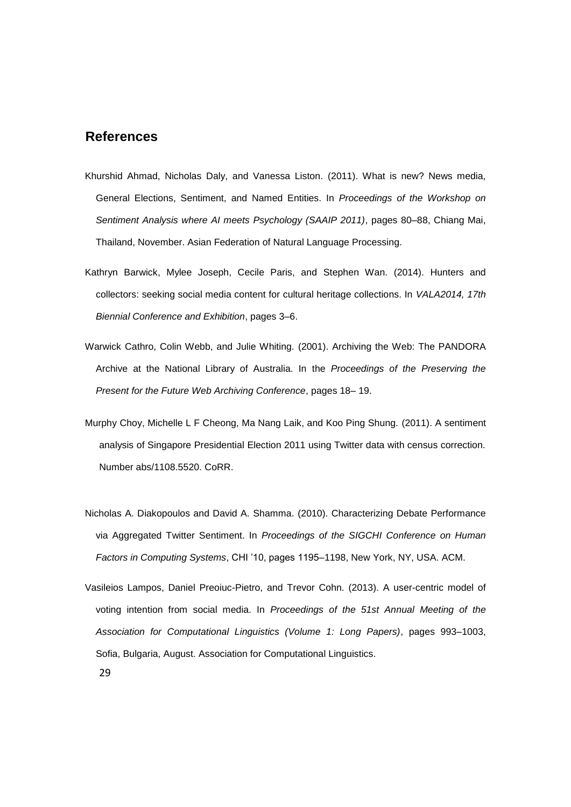### **References**

- Khurshid Ahmad, Nicholas Daly, and Vanessa Liston. (2011). What is new? News media, General Elections, Sentiment, and Named Entities. In *Proceedings of the Workshop on Sentiment Analysis where AI meets Psychology (SAAIP 2011)*, pages 80–88, Chiang Mai, Thailand, November. Asian Federation of Natural Language Processing.
- Kathryn Barwick, Mylee Joseph, Cecile Paris, and Stephen Wan. (2014). Hunters and collectors: seeking social media content for cultural heritage collections. In *VALA2014, 17th Biennial Conference and Exhibition*, pages 3–6.
- Warwick Cathro, Colin Webb, and Julie Whiting. (2001). Archiving the Web: The PANDORA Archive at the National Library of Australia. In the *Proceedings of the Preserving the Present for the Future Web Archiving Conference*, pages 18– 19.
- Murphy Choy, Michelle L F Cheong, Ma Nang Laik, and Koo Ping Shung. (2011). A sentiment analysis of Singapore Presidential Election 2011 using Twitter data with census correction. Number abs/1108.5520. CoRR.
- Nicholas A. Diakopoulos and David A. Shamma. (2010). Characterizing Debate Performance via Aggregated Twitter Sentiment. In *Proceedings of the SIGCHI Conference on Human Factors in Computing Systems*, CHI '10, pages 1195–1198, New York, NY, USA. ACM.
- Vasileios Lampos, Daniel Preoiuc-Pietro, and Trevor Cohn. (2013). A user-centric model of voting intention from social media. In *Proceedings of the 51st Annual Meeting of the Association for Computational Linguistics (Volume 1: Long Papers)*, pages 993–1003, Sofia, Bulgaria, August. Association for Computational Linguistics.